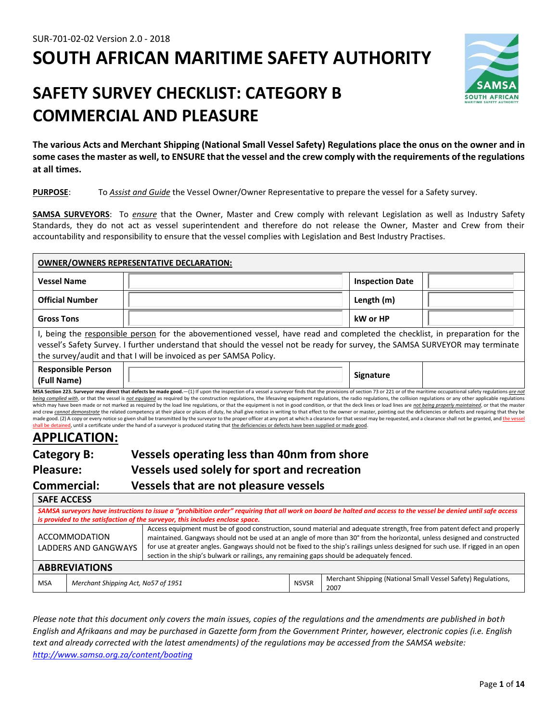# **SOUTH AFRICAN MARITIME SAFETY AUTHORITY**



# **SAFETY SURVEY CHECKLIST: CATEGORY B COMMERCIAL AND PLEASURE**

**The various Acts and Merchant Shipping (National Small Vessel Safety) Regulations place the onus on the owner and in some cases the master as well, to ENSURE that the vessel and the crew comply with the requirements of the regulations at all times.**

#### **PURPOSE**: To *Assist and Guide* the Vessel Owner/Owner Representative to prepare the vessel for a Safety survey.

**SAMSA SURVEYORS**: To *ensure* that the Owner, Master and Crew comply with relevant Legislation as well as Industry Safety Standards, they do not act as vessel superintendent and therefore do not release the Owner, Master and Crew from their accountability and responsibility to ensure that the vessel complies with Legislation and Best Industry Practises.

| <b>OWNER/OWNERS REPRESENTATIVE DECLARATION:</b> |                                                                                                                                                                                                                                                                                                                                    |                        |  |
|-------------------------------------------------|------------------------------------------------------------------------------------------------------------------------------------------------------------------------------------------------------------------------------------------------------------------------------------------------------------------------------------|------------------------|--|
| <b>Vessel Name</b>                              |                                                                                                                                                                                                                                                                                                                                    | <b>Inspection Date</b> |  |
| <b>Official Number</b>                          |                                                                                                                                                                                                                                                                                                                                    | Length (m)             |  |
| <b>Gross Tons</b>                               |                                                                                                                                                                                                                                                                                                                                    | kW or HP               |  |
|                                                 | I, being the responsible person for the abovementioned vessel, have read and completed the checklist, in preparation for the<br>vessel's Safety Survey. I further understand that should the vessel not be ready for survey, the SAMSA SURVEYOR may terminate<br>the survey/audit and that I will be invoiced as per SAMSA Policy. |                        |  |
| <b>Responsible Person</b><br>(Full Name)        |                                                                                                                                                                                                                                                                                                                                    | <b>Signature</b>       |  |

MSA Section 223. Surveyor may direct that defects be made good.-(1) If upon the inspection of a vessel a surveyor finds that the provisions of section 73 or 221 or of the maritime occupational safety regulations *are not* being complied with, or that the vessel is not equipped as required by the construction regulations, the lifesaving equipment regulations, the radio regulations, the collision regulations or any other applicable regulation which may have been made or not marked as required by the load line regulations, or that the equipment is not in good condition, or that the deck lines or load lines are not being properly mgintgined, or that the master and crew cannot demonstrate the related competency at their place or places of duty, he shall give notice in writing to that effect to the owner or master, pointing out the deficiencies or defects and requiring that they b made good. (2) A copy or every notice so given shall be transmitted by the surveyor to the proper officer at any port at which a clearance for that vessel may be requested, and a clearance shall not be granted, and the v d, until a certificate under the hand of a surveyor is produced stating that the deficiencies or defects have been supplied or made good

## **APPLICATION:**

**SAFE ACCESS** 

| Category B:      | Vessels operating less than 40nm from shore  |
|------------------|----------------------------------------------|
| <b>Pleasure:</b> | Vessels used solely for sport and recreation |
| Commorcial       | Vaccalc that are not pleasure veccalc        |

# **Commercial: Vessels that are not pleasure vessels**

| <u>JAI LACCEJJ</u>                                |                                                                                                                                                                  |                                                                                                                                                                                                                                                                                                                                                                                                                                                                                           |                                                                       |  |
|---------------------------------------------------|------------------------------------------------------------------------------------------------------------------------------------------------------------------|-------------------------------------------------------------------------------------------------------------------------------------------------------------------------------------------------------------------------------------------------------------------------------------------------------------------------------------------------------------------------------------------------------------------------------------------------------------------------------------------|-----------------------------------------------------------------------|--|
|                                                   | SAMSA surveyors have instructions to issue a "prohibition order" requiring that all work on board be halted and access to the vessel be denied until safe access |                                                                                                                                                                                                                                                                                                                                                                                                                                                                                           |                                                                       |  |
|                                                   | is provided to the satisfaction of the surveyor, this includes enclose space.                                                                                    |                                                                                                                                                                                                                                                                                                                                                                                                                                                                                           |                                                                       |  |
|                                                   | ACCOMMODATION<br>LADDERS AND GANGWAYS                                                                                                                            | Access equipment must be of good construction, sound material and adequate strength, free from patent defect and properly<br>maintained. Gangways should not be used at an angle of more than 30° from the horizontal, unless designed and constructed<br>for use at greater angles. Gangways should not be fixed to the ship's railings unless designed for such use. If rigged in an open<br>section in the ship's bulwark or railings, any remaining gaps should be adequately fenced. |                                                                       |  |
|                                                   | <b>ABBREVIATIONS</b>                                                                                                                                             |                                                                                                                                                                                                                                                                                                                                                                                                                                                                                           |                                                                       |  |
| Merchant Shipping Act, No57 of 1951<br><b>MSA</b> |                                                                                                                                                                  | <b>NSVSR</b>                                                                                                                                                                                                                                                                                                                                                                                                                                                                              | Merchant Shipping (National Small Vessel Safety) Regulations,<br>2007 |  |

*Please note that this document only covers the main issues, copies of the regulations and the amendments are published in both English and Afrikaans and may be purchased in Gazette form from the Government Printer, however, electronic copies (i.e. English text and already corrected with the latest amendments) of the regulations may be accessed from the SAMSA website: <http://www.samsa.org.za/content/boating>*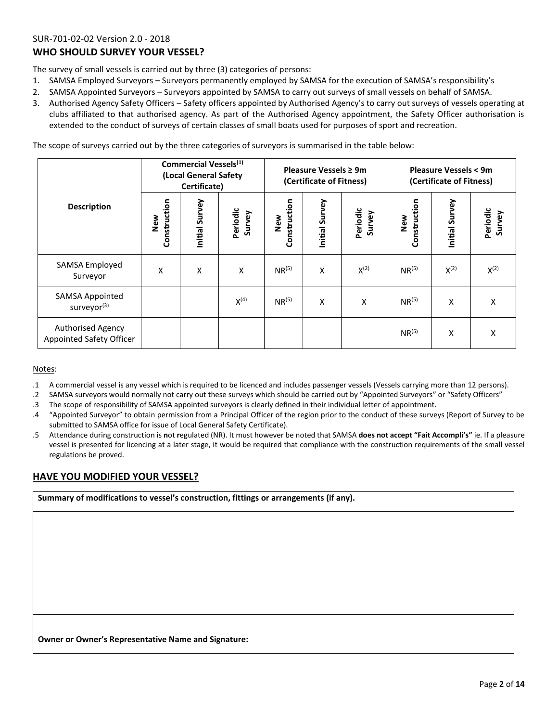### SUR-701-02-02 Version 2.0 - 2018 **WHO SHOULD SURVEY YOUR VESSEL?**

The survey of small vessels is carried out by three (3) categories of persons:

- 1. SAMSA Employed Surveyors Surveyors permanently employed by SAMSA for the execution of SAMSA's responsibility's
- 2. SAMSA Appointed Surveyors Surveyors appointed by SAMSA to carry out surveys of small vessels on behalf of SAMSA.
- 3. Authorised Agency Safety Officers Safety officers appointed by Authorised Agency's to carry out surveys of vessels operating at clubs affiliated to that authorised agency. As part of the Authorised Agency appointment, the Safety Officer authorisation is extended to the conduct of surveys of certain classes of small boats used for purposes of sport and recreation.

The scope of surveys carried out by the three categories of surveyors is summarised in the table below:

|                                                   |                     | Commercial Vessels <sup>(1)</sup><br>(Local General Safety<br>Certificate) |                    | Pleasure Vessels ≥ 9m<br>(Certificate of Fitness) |                | <b>Pleasure Vessels &lt; 9m</b><br>(Certificate of Fitness) |                     |                |                    |
|---------------------------------------------------|---------------------|----------------------------------------------------------------------------|--------------------|---------------------------------------------------|----------------|-------------------------------------------------------------|---------------------|----------------|--------------------|
| <b>Description</b>                                | Construction<br>New | Initial Survey                                                             | Periodic<br>Survey | Construction<br>New                               | Initial Survey | Periodic<br>Survey                                          | Construction<br>New | Initial Survey | Periodic<br>Survey |
| SAMSA Employed<br>Surveyor                        | X                   | X                                                                          | X                  | $NR^{(5)}$                                        | X              | $X^{(2)}$                                                   | $NR^{(5)}$          | $X^{(2)}$      | $X^{(2)}$          |
| <b>SAMSA Appointed</b><br>surveyor <sup>(3)</sup> |                     |                                                                            | $X^{(4)}$          | $NR^{(5)}$                                        | Χ              | X                                                           | $NR^{(5)}$          | X              | Χ                  |
| Authorised Agency<br>Appointed Safety Officer     |                     |                                                                            |                    |                                                   |                |                                                             | $NR^{(5)}$          | X              | X                  |

#### Notes:

.1 A commercial vessel is any vessel which is required to be licenced and includes passenger vessels (Vessels carrying more than 12 persons).

.2 SAMSA surveyors would normally not carry out these surveys which should be carried out by "Appointed Surveyors" or "Safety Officers"

.3 The scope of responsibility of SAMSA appointed surveyors is clearly defined in their individual letter of appointment.

- .4 "Appointed Surveyor" to obtain permission from a Principal Officer of the region prior to the conduct of these surveys (Report of Survey to be submitted to SAMSA office for issue of Local General Safety Certificate).
- .5 Attendance during construction is **n**ot **r**egulated (NR). It must however be noted that SAMSA **does not accept "Fait Accompli's"** ie. If a pleasure vessel is presented for licencing at a later stage, it would be required that compliance with the construction requirements of the small vessel regulations be proved.

### **HAVE YOU MODIFIED YOUR VESSEL?**

**Summary of modifications to vessel's construction, fittings or arrangements (if any).**

**Owner or Owner's Representative Name and Signature:**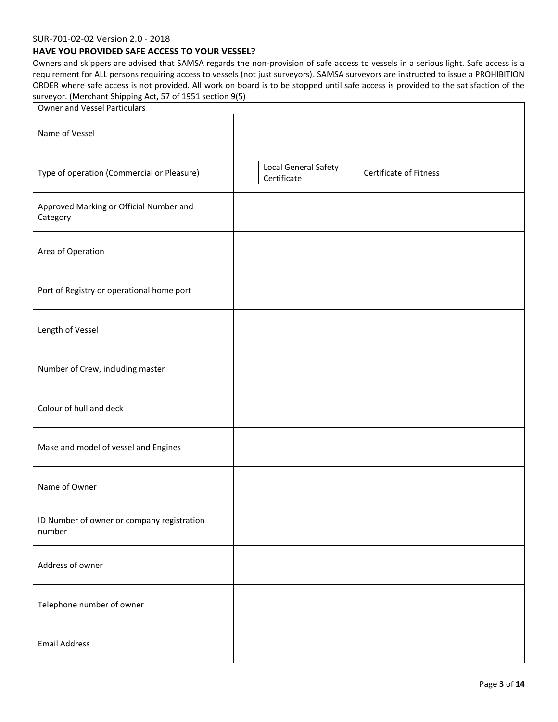#### SUR-701-02-02 Version 2.0 - 2018

#### **HAVE YOU PROVIDED SAFE ACCESS TO YOUR VESSEL?**

Owners and skippers are advised that SAMSA regards the non-provision of safe access to vessels in a serious light. Safe access is a requirement for ALL persons requiring access to vessels (not just surveyors). SAMSA surveyors are instructed to issue a PROHIBITION ORDER where safe access is not provided. All work on board is to be stopped until safe access is provided to the satisfaction of the surveyor. (Merchant Shipping Act, 57 of 1951 section 9(5)

| <b>Owner and Vessel Particulars</b>                  |                                                               |
|------------------------------------------------------|---------------------------------------------------------------|
| Name of Vessel                                       |                                                               |
| Type of operation (Commercial or Pleasure)           | Local General Safety<br>Certificate of Fitness<br>Certificate |
| Approved Marking or Official Number and<br>Category  |                                                               |
| Area of Operation                                    |                                                               |
| Port of Registry or operational home port            |                                                               |
| Length of Vessel                                     |                                                               |
| Number of Crew, including master                     |                                                               |
| Colour of hull and deck                              |                                                               |
| Make and model of vessel and Engines                 |                                                               |
| Name of Owner                                        |                                                               |
| ID Number of owner or company registration<br>number |                                                               |
| Address of owner                                     |                                                               |
| Telephone number of owner                            |                                                               |
| <b>Email Address</b>                                 |                                                               |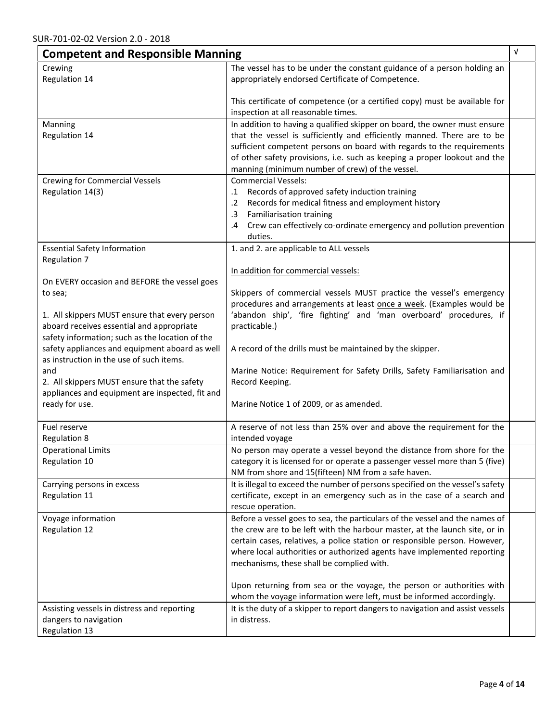| <b>Competent and Responsible Manning</b>                                                                                                                                                                 |                                                                                                                                                                                                                                                                                                                                                                 | $\sqrt{ }$ |
|----------------------------------------------------------------------------------------------------------------------------------------------------------------------------------------------------------|-----------------------------------------------------------------------------------------------------------------------------------------------------------------------------------------------------------------------------------------------------------------------------------------------------------------------------------------------------------------|------------|
| Crewing                                                                                                                                                                                                  | The vessel has to be under the constant guidance of a person holding an                                                                                                                                                                                                                                                                                         |            |
| Regulation 14                                                                                                                                                                                            | appropriately endorsed Certificate of Competence.                                                                                                                                                                                                                                                                                                               |            |
|                                                                                                                                                                                                          | This certificate of competence (or a certified copy) must be available for<br>inspection at all reasonable times.                                                                                                                                                                                                                                               |            |
| Manning<br>Regulation 14                                                                                                                                                                                 | In addition to having a qualified skipper on board, the owner must ensure<br>that the vessel is sufficiently and efficiently manned. There are to be<br>sufficient competent persons on board with regards to the requirements<br>of other safety provisions, i.e. such as keeping a proper lookout and the<br>manning (minimum number of crew) of the vessel.  |            |
| <b>Crewing for Commercial Vessels</b><br>Regulation 14(3)                                                                                                                                                | <b>Commercial Vessels:</b><br>Records of approved safety induction training<br>$\cdot$ 1<br>Records for medical fitness and employment history<br>$\cdot$ .2<br>Familiarisation training<br>$\cdot$ 3<br>Crew can effectively co-ordinate emergency and pollution prevention<br>.4<br>duties.                                                                   |            |
| <b>Essential Safety Information</b><br>Regulation 7                                                                                                                                                      | 1. and 2. are applicable to ALL vessels<br>In addition for commercial vessels:                                                                                                                                                                                                                                                                                  |            |
| On EVERY occasion and BEFORE the vessel goes<br>to sea;<br>1. All skippers MUST ensure that every person<br>aboard receives essential and appropriate<br>safety information; such as the location of the | Skippers of commercial vessels MUST practice the vessel's emergency<br>procedures and arrangements at least once a week. (Examples would be<br>'abandon ship', 'fire fighting' and 'man overboard' procedures, if<br>practicable.)                                                                                                                              |            |
| safety appliances and equipment aboard as well<br>as instruction in the use of such items.<br>and<br>2. All skippers MUST ensure that the safety                                                         | A record of the drills must be maintained by the skipper.<br>Marine Notice: Requirement for Safety Drills, Safety Familiarisation and<br>Record Keeping.                                                                                                                                                                                                        |            |
| appliances and equipment are inspected, fit and<br>ready for use.                                                                                                                                        | Marine Notice 1 of 2009, or as amended.                                                                                                                                                                                                                                                                                                                         |            |
| Fuel reserve<br><b>Regulation 8</b>                                                                                                                                                                      | A reserve of not less than 25% over and above the requirement for the<br>intended voyage                                                                                                                                                                                                                                                                        |            |
| <b>Operational Limits</b><br>Regulation 10                                                                                                                                                               | No person may operate a vessel beyond the distance from shore for the<br>category it is licensed for or operate a passenger vessel more than 5 (five)<br>NM from shore and 15(fifteen) NM from a safe haven.                                                                                                                                                    |            |
| Carrying persons in excess<br>Regulation 11                                                                                                                                                              | It is illegal to exceed the number of persons specified on the vessel's safety<br>certificate, except in an emergency such as in the case of a search and<br>rescue operation.                                                                                                                                                                                  |            |
| Voyage information<br>Regulation 12                                                                                                                                                                      | Before a vessel goes to sea, the particulars of the vessel and the names of<br>the crew are to be left with the harbour master, at the launch site, or in<br>certain cases, relatives, a police station or responsible person. However,<br>where local authorities or authorized agents have implemented reporting<br>mechanisms, these shall be complied with. |            |
|                                                                                                                                                                                                          | Upon returning from sea or the voyage, the person or authorities with<br>whom the voyage information were left, must be informed accordingly.                                                                                                                                                                                                                   |            |
| Assisting vessels in distress and reporting<br>dangers to navigation<br>Regulation 13                                                                                                                    | It is the duty of a skipper to report dangers to navigation and assist vessels<br>in distress.                                                                                                                                                                                                                                                                  |            |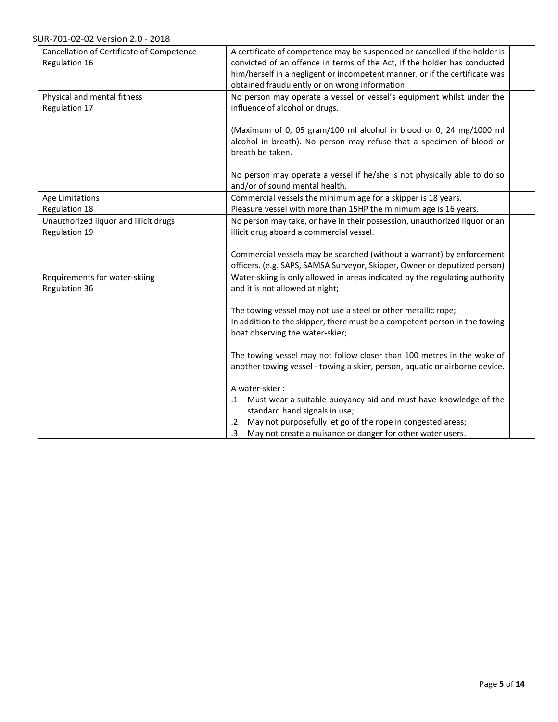| Cancellation of Certificate of Competence<br>Regulation 16 | A certificate of competence may be suspended or cancelled if the holder is<br>convicted of an offence in terms of the Act, if the holder has conducted         |  |
|------------------------------------------------------------|----------------------------------------------------------------------------------------------------------------------------------------------------------------|--|
|                                                            | him/herself in a negligent or incompetent manner, or if the certificate was<br>obtained fraudulently or on wrong information.                                  |  |
| Physical and mental fitness<br>Regulation 17               | No person may operate a vessel or vessel's equipment whilst under the<br>influence of alcohol or drugs.                                                        |  |
|                                                            | (Maximum of 0, 05 gram/100 ml alcohol in blood or 0, 24 mg/1000 ml<br>alcohol in breath). No person may refuse that a specimen of blood or<br>breath be taken. |  |
|                                                            | No person may operate a vessel if he/she is not physically able to do so<br>and/or of sound mental health.                                                     |  |
| Age Limitations                                            | Commercial vessels the minimum age for a skipper is 18 years.                                                                                                  |  |
| Regulation 18                                              | Pleasure vessel with more than 15HP the minimum age is 16 years.                                                                                               |  |
| Unauthorized liquor and illicit drugs                      | No person may take, or have in their possession, unauthorized liquor or an                                                                                     |  |
| Regulation 19                                              | illicit drug aboard a commercial vessel.                                                                                                                       |  |
|                                                            |                                                                                                                                                                |  |
|                                                            | Commercial vessels may be searched (without a warrant) by enforcement                                                                                          |  |
|                                                            | officers. (e.g. SAPS, SAMSA Surveyor, Skipper, Owner or deputized person)                                                                                      |  |
| Requirements for water-skiing<br>Regulation 36             | Water-skiing is only allowed in areas indicated by the regulating authority<br>and it is not allowed at night;                                                 |  |
|                                                            | The towing vessel may not use a steel or other metallic rope;                                                                                                  |  |
|                                                            | In addition to the skipper, there must be a competent person in the towing                                                                                     |  |
|                                                            | boat observing the water-skier;                                                                                                                                |  |
|                                                            | The towing vessel may not follow closer than 100 metres in the wake of<br>another towing vessel - towing a skier, person, aquatic or airborne device.          |  |
|                                                            | A water-skier:                                                                                                                                                 |  |
|                                                            | .1 Must wear a suitable buoyancy aid and must have knowledge of the<br>standard hand signals in use;                                                           |  |
|                                                            | .2 May not purposefully let go of the rope in congested areas;                                                                                                 |  |
|                                                            | May not create a nuisance or danger for other water users.<br>.3                                                                                               |  |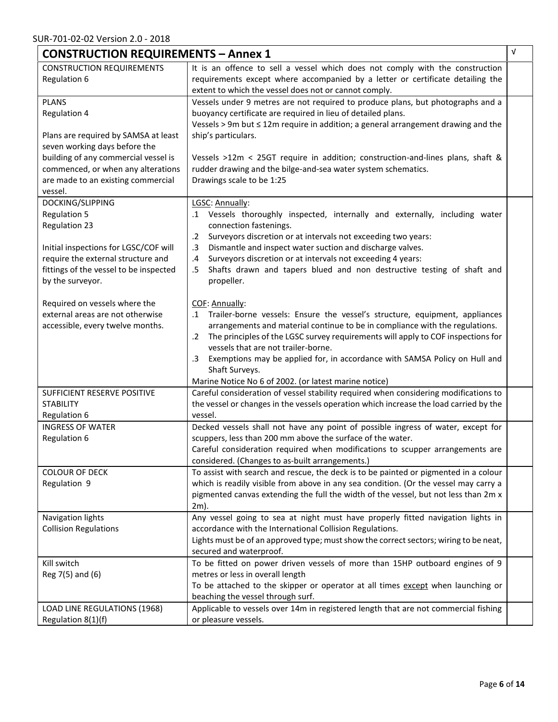| V<br><b>CONSTRUCTION REQUIREMENTS - Annex 1</b>                       |                                                                                                                                                                               |  |  |
|-----------------------------------------------------------------------|-------------------------------------------------------------------------------------------------------------------------------------------------------------------------------|--|--|
| <b>CONSTRUCTION REQUIREMENTS</b>                                      | It is an offence to sell a vessel which does not comply with the construction                                                                                                 |  |  |
| Regulation 6                                                          | requirements except where accompanied by a letter or certificate detailing the<br>extent to which the vessel does not or cannot comply.                                       |  |  |
| <b>PLANS</b>                                                          | Vessels under 9 metres are not required to produce plans, but photographs and a                                                                                               |  |  |
| Regulation 4                                                          | buoyancy certificate are required in lieu of detailed plans.<br>Vessels > 9m but $\leq$ 12m require in addition; a general arrangement drawing and the                        |  |  |
| Plans are required by SAMSA at least<br>seven working days before the | ship's particulars.                                                                                                                                                           |  |  |
| building of any commercial vessel is                                  | Vessels >12m < 25GT require in addition; construction-and-lines plans, shaft &                                                                                                |  |  |
| commenced, or when any alterations                                    | rudder drawing and the bilge-and-sea water system schematics.                                                                                                                 |  |  |
| are made to an existing commercial                                    | Drawings scale to be 1:25                                                                                                                                                     |  |  |
| vessel.                                                               |                                                                                                                                                                               |  |  |
| DOCKING/SLIPPING                                                      | LGSC: Annually:                                                                                                                                                               |  |  |
| <b>Regulation 5</b>                                                   | .1 Vessels thoroughly inspected, internally and externally, including water                                                                                                   |  |  |
| <b>Regulation 23</b>                                                  | connection fastenings.                                                                                                                                                        |  |  |
|                                                                       | Surveyors discretion or at intervals not exceeding two years:<br>$\cdot$ 2                                                                                                    |  |  |
| Initial inspections for LGSC/COF will                                 | Dismantle and inspect water suction and discharge valves.<br>$\cdot$ 3                                                                                                        |  |  |
| require the external structure and                                    | Surveyors discretion or at intervals not exceeding 4 years:<br>.4                                                                                                             |  |  |
| fittings of the vessel to be inspected                                | Shafts drawn and tapers blued and non destructive testing of shaft and<br>.5                                                                                                  |  |  |
| by the surveyor.                                                      | propeller.                                                                                                                                                                    |  |  |
| Required on vessels where the                                         | COF: Annually:                                                                                                                                                                |  |  |
| external areas are not otherwise                                      | .1 Trailer-borne vessels: Ensure the vessel's structure, equipment, appliances                                                                                                |  |  |
| accessible, every twelve months.                                      | arrangements and material continue to be in compliance with the regulations.                                                                                                  |  |  |
|                                                                       | The principles of the LGSC survey requirements will apply to COF inspections for<br>$\cdot$ 2                                                                                 |  |  |
|                                                                       | vessels that are not trailer-borne.                                                                                                                                           |  |  |
|                                                                       | Exemptions may be applied for, in accordance with SAMSA Policy on Hull and<br>.3                                                                                              |  |  |
|                                                                       | Shaft Surveys.                                                                                                                                                                |  |  |
|                                                                       | Marine Notice No 6 of 2002. (or latest marine notice)                                                                                                                         |  |  |
| SUFFICIENT RESERVE POSITIVE<br><b>STABILITY</b>                       | Careful consideration of vessel stability required when considering modifications to<br>the vessel or changes in the vessels operation which increase the load carried by the |  |  |
| Regulation 6                                                          | vessel.                                                                                                                                                                       |  |  |
| <b>INGRESS OF WATER</b>                                               | Decked vessels shall not have any point of possible ingress of water, except for                                                                                              |  |  |
| Regulation 6                                                          | scuppers, less than 200 mm above the surface of the water.                                                                                                                    |  |  |
|                                                                       | Careful consideration required when modifications to scupper arrangements are                                                                                                 |  |  |
|                                                                       | considered. (Changes to as-built arrangements.)                                                                                                                               |  |  |
| <b>COLOUR OF DECK</b>                                                 | To assist with search and rescue, the deck is to be painted or pigmented in a colour                                                                                          |  |  |
| Regulation 9                                                          | which is readily visible from above in any sea condition. (Or the vessel may carry a                                                                                          |  |  |
|                                                                       | pigmented canvas extending the full the width of the vessel, but not less than 2m x                                                                                           |  |  |
|                                                                       | 2m).                                                                                                                                                                          |  |  |
| Navigation lights                                                     | Any vessel going to sea at night must have properly fitted navigation lights in                                                                                               |  |  |
| <b>Collision Regulations</b>                                          | accordance with the International Collision Regulations.                                                                                                                      |  |  |
|                                                                       | Lights must be of an approved type; must show the correct sectors; wiring to be neat,                                                                                         |  |  |
|                                                                       | secured and waterproof.                                                                                                                                                       |  |  |
| Kill switch                                                           | To be fitted on power driven vessels of more than 15HP outboard engines of 9<br>metres or less in overall length                                                              |  |  |
| Reg 7(5) and (6)                                                      | To be attached to the skipper or operator at all times except when launching or                                                                                               |  |  |
|                                                                       | beaching the vessel through surf.                                                                                                                                             |  |  |
| LOAD LINE REGULATIONS (1968)                                          | Applicable to vessels over 14m in registered length that are not commercial fishing                                                                                           |  |  |
| Regulation 8(1)(f)                                                    | or pleasure vessels.                                                                                                                                                          |  |  |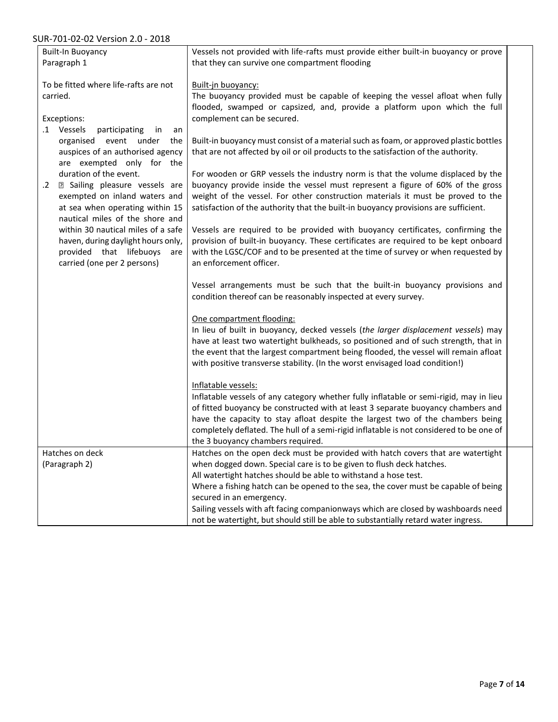### SUR-701-02-02 Version 2.0 - 2018

| 101 V 202 V 1010 H 2.0                       |                                                                                         |  |
|----------------------------------------------|-----------------------------------------------------------------------------------------|--|
| <b>Built-In Buoyancy</b>                     | Vessels not provided with life-rafts must provide either built-in buoyancy or prove     |  |
| Paragraph 1                                  | that they can survive one compartment flooding                                          |  |
|                                              |                                                                                         |  |
| To be fitted where life-rafts are not        | Built-jn buoyancy:                                                                      |  |
| carried.                                     | The buoyancy provided must be capable of keeping the vessel afloat when fully           |  |
|                                              | flooded, swamped or capsized, and, provide a platform upon which the full               |  |
| Exceptions:                                  | complement can be secured.                                                              |  |
| .1 Vessels<br>participating<br>in<br>an      |                                                                                         |  |
| organised event under the                    | Built-in buoyancy must consist of a material such as foam, or approved plastic bottles  |  |
| auspices of an authorised agency             | that are not affected by oil or oil products to the satisfaction of the authority.      |  |
|                                              |                                                                                         |  |
| are exempted only for the                    |                                                                                         |  |
| duration of the event.                       | For wooden or GRP vessels the industry norm is that the volume displaced by the         |  |
| a Sailing pleasure vessels are<br>$\cdot$ .2 | buoyancy provide inside the vessel must represent a figure of 60% of the gross          |  |
| exempted on inland waters and                | weight of the vessel. For other construction materials it must be proved to the         |  |
| at sea when operating within 15              | satisfaction of the authority that the built-in buoyancy provisions are sufficient.     |  |
| nautical miles of the shore and              |                                                                                         |  |
| within 30 nautical miles of a safe           | Vessels are required to be provided with buoyancy certificates, confirming the          |  |
| haven, during daylight hours only,           | provision of built-in buoyancy. These certificates are required to be kept onboard      |  |
| provided that lifebuoys are                  | with the LGSC/COF and to be presented at the time of survey or when requested by        |  |
| carried (one per 2 persons)                  | an enforcement officer.                                                                 |  |
|                                              |                                                                                         |  |
|                                              | Vessel arrangements must be such that the built-in buoyancy provisions and              |  |
|                                              | condition thereof can be reasonably inspected at every survey.                          |  |
|                                              |                                                                                         |  |
|                                              | One compartment flooding:                                                               |  |
|                                              | In lieu of built in buoyancy, decked vessels (the larger displacement vessels) may      |  |
|                                              | have at least two watertight bulkheads, so positioned and of such strength, that in     |  |
|                                              |                                                                                         |  |
|                                              | the event that the largest compartment being flooded, the vessel will remain afloat     |  |
|                                              | with positive transverse stability. (In the worst envisaged load condition!)            |  |
|                                              |                                                                                         |  |
|                                              | Inflatable vessels:                                                                     |  |
|                                              | Inflatable vessels of any category whether fully inflatable or semi-rigid, may in lieu  |  |
|                                              | of fitted buoyancy be constructed with at least 3 separate buoyancy chambers and        |  |
|                                              | have the capacity to stay afloat despite the largest two of the chambers being          |  |
|                                              | completely deflated. The hull of a semi-rigid inflatable is not considered to be one of |  |
|                                              | the 3 buoyancy chambers required.                                                       |  |
| Hatches on deck                              | Hatches on the open deck must be provided with hatch covers that are watertight         |  |
| (Paragraph 2)                                | when dogged down. Special care is to be given to flush deck hatches.                    |  |
|                                              | All watertight hatches should be able to withstand a hose test.                         |  |
|                                              | Where a fishing hatch can be opened to the sea, the cover must be capable of being      |  |
|                                              | secured in an emergency.                                                                |  |
|                                              | Sailing vessels with aft facing companionways which are closed by washboards need       |  |
|                                              | not be watertight, but should still be able to substantially retard water ingress.      |  |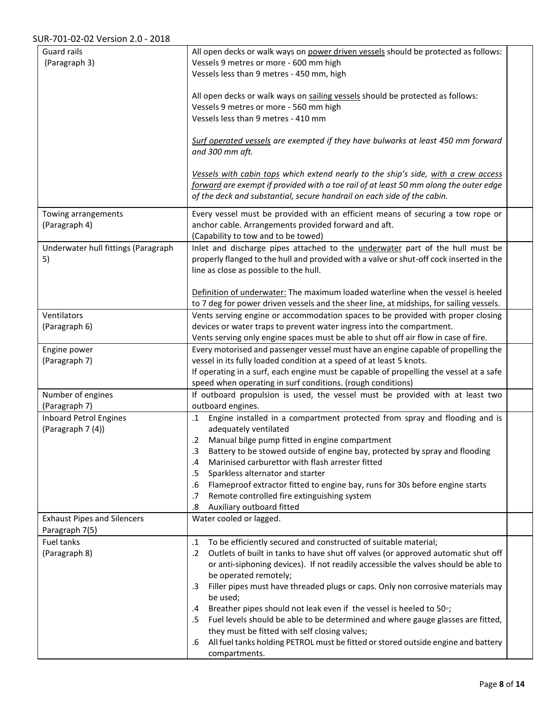| <b>Guard rails</b>                  | All open decks or walk ways on power driven vessels should be protected as follows:                 |  |
|-------------------------------------|-----------------------------------------------------------------------------------------------------|--|
| (Paragraph 3)                       | Vessels 9 metres or more - 600 mm high<br>Vessels less than 9 metres - 450 mm, high                 |  |
|                                     |                                                                                                     |  |
|                                     | All open decks or walk ways on sailing vessels should be protected as follows:                      |  |
|                                     | Vessels 9 metres or more - 560 mm high                                                              |  |
|                                     | Vessels less than 9 metres - 410 mm                                                                 |  |
|                                     |                                                                                                     |  |
|                                     | Surf operated vessels are exempted if they have bulwarks at least 450 mm forward<br>and 300 mm aft. |  |
|                                     |                                                                                                     |  |
|                                     | Vessels with cabin tops which extend nearly to the ship's side, with a crew access                  |  |
|                                     | forward are exempt if provided with a toe rail of at least 50 mm along the outer edge               |  |
|                                     | of the deck and substantial, secure handrail on each side of the cabin.                             |  |
| Towing arrangements                 | Every vessel must be provided with an efficient means of securing a tow rope or                     |  |
| (Paragraph 4)                       | anchor cable. Arrangements provided forward and aft.                                                |  |
|                                     | (Capability to tow and to be towed)                                                                 |  |
| Underwater hull fittings (Paragraph | Inlet and discharge pipes attached to the <i>underwater</i> part of the hull must be                |  |
| 5)                                  | properly flanged to the hull and provided with a valve or shut-off cock inserted in the             |  |
|                                     | line as close as possible to the hull.                                                              |  |
|                                     | Definition of underwater: The maximum loaded waterline when the vessel is heeled                    |  |
|                                     | to 7 deg for power driven vessels and the sheer line, at midships, for sailing vessels.             |  |
| Ventilators                         | Vents serving engine or accommodation spaces to be provided with proper closing                     |  |
| (Paragraph 6)                       | devices or water traps to prevent water ingress into the compartment.                               |  |
|                                     | Vents serving only engine spaces must be able to shut off air flow in case of fire.                 |  |
| Engine power                        | Every motorised and passenger vessel must have an engine capable of propelling the                  |  |
| (Paragraph 7)                       | vessel in its fully loaded condition at a speed of at least 5 knots.                                |  |
|                                     | If operating in a surf, each engine must be capable of propelling the vessel at a safe              |  |
|                                     | speed when operating in surf conditions. (rough conditions)                                         |  |
| Number of engines<br>(Paragraph 7)  | If outboard propulsion is used, the vessel must be provided with at least two<br>outboard engines.  |  |
| <b>Inboard Petrol Engines</b>       | Engine installed in a compartment protected from spray and flooding and is<br>$\cdot$ 1             |  |
| (Paragraph 7 (4))                   | adequately ventilated                                                                               |  |
|                                     | Manual bilge pump fitted in engine compartment<br>.2                                                |  |
|                                     | 3<br>Battery to be stowed outside of engine bay, protected by spray and flooding                    |  |
|                                     | Marinised carburettor with flash arrester fitted<br>.4                                              |  |
|                                     | Sparkless alternator and starter<br>.5                                                              |  |
|                                     | Flameproof extractor fitted to engine bay, runs for 30s before engine starts<br>.6                  |  |
|                                     | Remote controlled fire extinguishing system<br>.7<br>Auxiliary outboard fitted<br>.8                |  |
| <b>Exhaust Pipes and Silencers</b>  | Water cooled or lagged.                                                                             |  |
| Paragraph 7(5)                      |                                                                                                     |  |
| Fuel tanks                          | To be efficiently secured and constructed of suitable material;<br>$\cdot$ 1                        |  |
| (Paragraph 8)                       | Outlets of built in tanks to have shut off valves (or approved automatic shut off<br>$\cdot$ .2     |  |
|                                     | or anti-siphoning devices). If not readily accessible the valves should be able to                  |  |
|                                     | be operated remotely;                                                                               |  |
|                                     | Filler pipes must have threaded plugs or caps. Only non corrosive materials may<br>$.3\,$           |  |
|                                     | be used;<br>Breather pipes should not leak even if the vessel is heeled to 50°;<br>.4               |  |
|                                     | Fuel levels should be able to be determined and where gauge glasses are fitted,<br>.5               |  |
|                                     | they must be fitted with self closing valves;                                                       |  |
|                                     | All fuel tanks holding PETROL must be fitted or stored outside engine and battery<br>.6             |  |
|                                     | compartments.                                                                                       |  |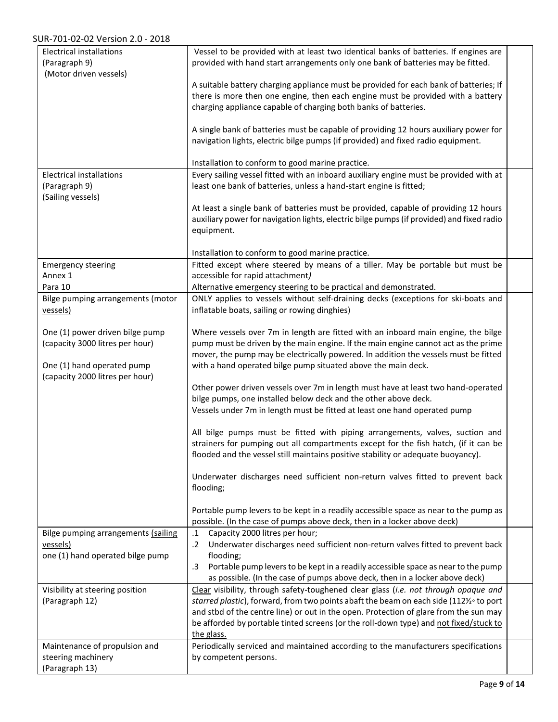| <b>Electrical installations</b><br>(Paragraph 9)<br>(Motor driven vessels)                       | Vessel to be provided with at least two identical banks of batteries. If engines are<br>provided with hand start arrangements only one bank of batteries may be fitted.                                                                                                                                                         |  |
|--------------------------------------------------------------------------------------------------|---------------------------------------------------------------------------------------------------------------------------------------------------------------------------------------------------------------------------------------------------------------------------------------------------------------------------------|--|
|                                                                                                  | A suitable battery charging appliance must be provided for each bank of batteries; If<br>there is more then one engine, then each engine must be provided with a battery                                                                                                                                                        |  |
|                                                                                                  | charging appliance capable of charging both banks of batteries.                                                                                                                                                                                                                                                                 |  |
|                                                                                                  | A single bank of batteries must be capable of providing 12 hours auxiliary power for<br>navigation lights, electric bilge pumps (if provided) and fixed radio equipment.                                                                                                                                                        |  |
|                                                                                                  | Installation to conform to good marine practice.                                                                                                                                                                                                                                                                                |  |
| <b>Electrical installations</b><br>(Paragraph 9)<br>(Sailing vessels)                            | Every sailing vessel fitted with an inboard auxiliary engine must be provided with at<br>least one bank of batteries, unless a hand-start engine is fitted;                                                                                                                                                                     |  |
|                                                                                                  | At least a single bank of batteries must be provided, capable of providing 12 hours<br>auxiliary power for navigation lights, electric bilge pumps (if provided) and fixed radio<br>equipment.                                                                                                                                  |  |
|                                                                                                  | Installation to conform to good marine practice.                                                                                                                                                                                                                                                                                |  |
| <b>Emergency steering</b>                                                                        | Fitted except where steered by means of a tiller. May be portable but must be                                                                                                                                                                                                                                                   |  |
| Annex 1<br>Para 10                                                                               | accessible for rapid attachment)<br>Alternative emergency steering to be practical and demonstrated.                                                                                                                                                                                                                            |  |
| Bilge pumping arrangements (motor<br>vessels)                                                    | ONLY applies to vessels without self-draining decks (exceptions for ski-boats and<br>inflatable boats, sailing or rowing dinghies)                                                                                                                                                                                              |  |
| One (1) power driven bilge pump<br>(capacity 3000 litres per hour)<br>One (1) hand operated pump | Where vessels over 7m in length are fitted with an inboard main engine, the bilge<br>pump must be driven by the main engine. If the main engine cannot act as the prime<br>mover, the pump may be electrically powered. In addition the vessels must be fitted<br>with a hand operated bilge pump situated above the main deck. |  |
| (capacity 2000 litres per hour)                                                                  | Other power driven vessels over 7m in length must have at least two hand-operated<br>bilge pumps, one installed below deck and the other above deck.<br>Vessels under 7m in length must be fitted at least one hand operated pump                                                                                               |  |
|                                                                                                  | All bilge pumps must be fitted with piping arrangements, valves, suction and<br>strainers for pumping out all compartments except for the fish hatch, (if it can be<br>flooded and the vessel still maintains positive stability or adequate buoyancy).                                                                         |  |
|                                                                                                  | Underwater discharges need sufficient non-return valves fitted to prevent back<br>flooding;                                                                                                                                                                                                                                     |  |
|                                                                                                  | Portable pump levers to be kept in a readily accessible space as near to the pump as<br>possible. (In the case of pumps above deck, then in a locker above deck)                                                                                                                                                                |  |
| Bilge pumping arrangements (sailing<br>vessels)<br>one (1) hand operated bilge pump              | Capacity 2000 litres per hour;<br>.1<br>Underwater discharges need sufficient non-return valves fitted to prevent back<br>$\cdot$ .2<br>flooding;<br>Portable pump levers to be kept in a readily accessible space as near to the pump<br>$\cdot$ 3                                                                             |  |
|                                                                                                  | as possible. (In the case of pumps above deck, then in a locker above deck)                                                                                                                                                                                                                                                     |  |
| Visibility at steering position<br>(Paragraph 12)                                                | Clear visibility, through safety-toughened clear glass (i.e. not through opaque and<br>starred plastic), forward, from two points abaft the beam on each side (1121/2° to port<br>and stbd of the centre line) or out in the open. Protection of glare from the sun may                                                         |  |
|                                                                                                  | be afforded by portable tinted screens (or the roll-down type) and not fixed/stuck to<br>the glass.                                                                                                                                                                                                                             |  |
| Maintenance of propulsion and<br>steering machinery<br>(Paragraph 13)                            | Periodically serviced and maintained according to the manufacturers specifications<br>by competent persons.                                                                                                                                                                                                                     |  |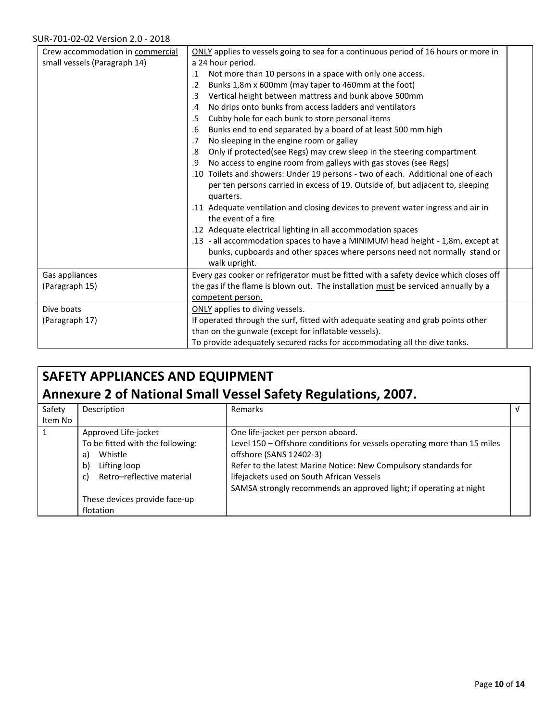| Crew accommodation in commercial | ONLY applies to vessels going to sea for a continuous period of 16 hours or more in   |
|----------------------------------|---------------------------------------------------------------------------------------|
| small vessels (Paragraph 14)     | a 24 hour period.                                                                     |
|                                  | Not more than 10 persons in a space with only one access.<br>$\cdot$ 1                |
|                                  | Bunks 1,8m x 600mm (may taper to 460mm at the foot)<br>$\cdot$ .2                     |
|                                  | Vertical height between mattress and bunk above 500mm<br>$\cdot$ 3                    |
|                                  | No drips onto bunks from access ladders and ventilators<br>.4                         |
|                                  | Cubby hole for each bunk to store personal items<br>.5                                |
|                                  | Bunks end to end separated by a board of at least 500 mm high<br>.6                   |
|                                  | No sleeping in the engine room or galley<br>.7                                        |
|                                  | Only if protected(see Regs) may crew sleep in the steering compartment<br>.8          |
|                                  | No access to engine room from galleys with gas stoves (see Regs)<br>.9                |
|                                  | .10 Toilets and showers: Under 19 persons - two of each. Additional one of each       |
|                                  | per ten persons carried in excess of 19. Outside of, but adjacent to, sleeping        |
|                                  | quarters.                                                                             |
|                                  | .11 Adequate ventilation and closing devices to prevent water ingress and air in      |
|                                  | the event of a fire                                                                   |
|                                  | .12 Adequate electrical lighting in all accommodation spaces                          |
|                                  | .13 - all accommodation spaces to have a MINIMUM head height - 1,8m, except at        |
|                                  | bunks, cupboards and other spaces where persons need not normally stand or            |
|                                  | walk upright.                                                                         |
| Gas appliances                   | Every gas cooker or refrigerator must be fitted with a safety device which closes off |
| (Paragraph 15)                   | the gas if the flame is blown out. The installation must be serviced annually by a    |
|                                  | competent person.                                                                     |
| Dive boats                       | ONLY applies to diving vessels.                                                       |
| (Paragraph 17)                   | If operated through the surf, fitted with adequate seating and grab points other      |
|                                  | than on the gunwale (except for inflatable vessels).                                  |
|                                  | To provide adequately secured racks for accommodating all the dive tanks.             |

## **SAFETY APPLIANCES AND EQUIPMENT Annexure 2 of National Small Vessel Safety Regulations, 2007.**

| Safety<br>Item No | Description                                                                                                                                                                                | Remarks                                                                                                                                                                                                                                                                                                                         |  |
|-------------------|--------------------------------------------------------------------------------------------------------------------------------------------------------------------------------------------|---------------------------------------------------------------------------------------------------------------------------------------------------------------------------------------------------------------------------------------------------------------------------------------------------------------------------------|--|
|                   | Approved Life-jacket<br>To be fitted with the following:<br>Whistle<br>a)<br>Lifting loop<br>$\mathbf{b}$<br>Retro-reflective material<br>c)<br>These devices provide face-up<br>flotation | One life-jacket per person aboard.<br>Level 150 - Offshore conditions for vessels operating more than 15 miles<br>offshore (SANS 12402-3)<br>Refer to the latest Marine Notice: New Compulsory standards for<br>lifejackets used on South African Vessels<br>SAMSA strongly recommends an approved light; if operating at night |  |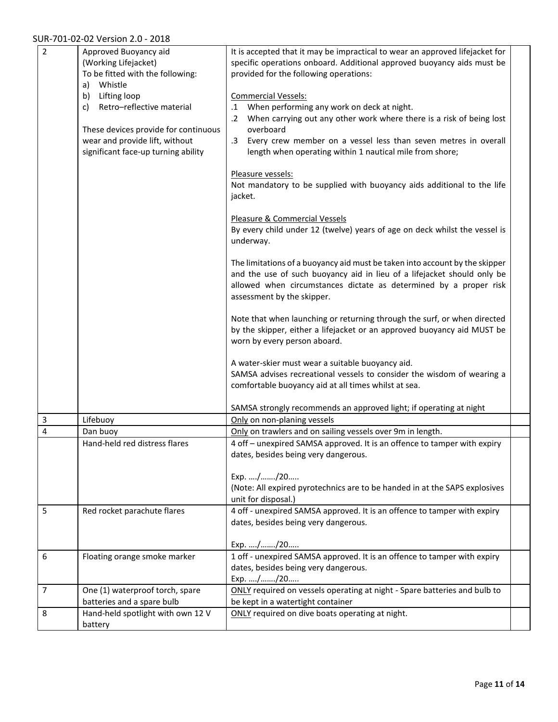#### SUR-701-02-02 Version 2.0 - 2018

| $\overline{2}$ | Approved Buoyancy aid<br>(Working Lifejacket)<br>To be fitted with the following:<br>a) Whistle<br>b) Lifting loop<br>Retro-reflective material<br>c)<br>These devices provide for continuous<br>wear and provide lift, without<br>significant face-up turning ability | It is accepted that it may be impractical to wear an approved lifejacket for<br>specific operations onboard. Additional approved buoyancy aids must be<br>provided for the following operations:<br><b>Commercial Vessels:</b><br>When performing any work on deck at night.<br>$\cdot$ 1<br>When carrying out any other work where there is a risk of being lost<br>$\cdot$ 2<br>overboard<br>Every crew member on a vessel less than seven metres in overall<br>$.3\phantom{0}$<br>length when operating within 1 nautical mile from shore;<br>Pleasure vessels:<br>Not mandatory to be supplied with buoyancy aids additional to the life<br>jacket.<br>Pleasure & Commercial Vessels<br>By every child under 12 (twelve) years of age on deck whilst the vessel is<br>underway.<br>The limitations of a buoyancy aid must be taken into account by the skipper<br>and the use of such buoyancy aid in lieu of a lifejacket should only be<br>allowed when circumstances dictate as determined by a proper risk<br>assessment by the skipper.<br>Note that when launching or returning through the surf, or when directed<br>by the skipper, either a lifejacket or an approved buoyancy aid MUST be<br>worn by every person aboard.<br>A water-skier must wear a suitable buoyancy aid.<br>SAMSA advises recreational vessels to consider the wisdom of wearing a<br>comfortable buoyancy aid at all times whilst at sea. |  |
|----------------|------------------------------------------------------------------------------------------------------------------------------------------------------------------------------------------------------------------------------------------------------------------------|-------------------------------------------------------------------------------------------------------------------------------------------------------------------------------------------------------------------------------------------------------------------------------------------------------------------------------------------------------------------------------------------------------------------------------------------------------------------------------------------------------------------------------------------------------------------------------------------------------------------------------------------------------------------------------------------------------------------------------------------------------------------------------------------------------------------------------------------------------------------------------------------------------------------------------------------------------------------------------------------------------------------------------------------------------------------------------------------------------------------------------------------------------------------------------------------------------------------------------------------------------------------------------------------------------------------------------------------------------------------------------------------------------------------------------|--|
|                |                                                                                                                                                                                                                                                                        | SAMSA strongly recommends an approved light; if operating at night                                                                                                                                                                                                                                                                                                                                                                                                                                                                                                                                                                                                                                                                                                                                                                                                                                                                                                                                                                                                                                                                                                                                                                                                                                                                                                                                                            |  |
| 3              | Lifebuoy                                                                                                                                                                                                                                                               | Only on non-planing vessels                                                                                                                                                                                                                                                                                                                                                                                                                                                                                                                                                                                                                                                                                                                                                                                                                                                                                                                                                                                                                                                                                                                                                                                                                                                                                                                                                                                                   |  |
| 4              | Dan buoy<br>Hand-held red distress flares                                                                                                                                                                                                                              | Only on trawlers and on sailing vessels over 9m in length.<br>4 off - unexpired SAMSA approved. It is an offence to tamper with expiry<br>dates, besides being very dangerous.<br>Exp. //20<br>(Note: All expired pyrotechnics are to be handed in at the SAPS explosives<br>unit for disposal.)                                                                                                                                                                                                                                                                                                                                                                                                                                                                                                                                                                                                                                                                                                                                                                                                                                                                                                                                                                                                                                                                                                                              |  |
| 5              | Red rocket parachute flares                                                                                                                                                                                                                                            | 4 off - unexpired SAMSA approved. It is an offence to tamper with expiry<br>dates, besides being very dangerous.<br>Exp. //20                                                                                                                                                                                                                                                                                                                                                                                                                                                                                                                                                                                                                                                                                                                                                                                                                                                                                                                                                                                                                                                                                                                                                                                                                                                                                                 |  |
| 6              | Floating orange smoke marker                                                                                                                                                                                                                                           | 1 off - unexpired SAMSA approved. It is an offence to tamper with expiry<br>dates, besides being very dangerous.<br>Exp. //20                                                                                                                                                                                                                                                                                                                                                                                                                                                                                                                                                                                                                                                                                                                                                                                                                                                                                                                                                                                                                                                                                                                                                                                                                                                                                                 |  |
| 7              | One (1) waterproof torch, spare<br>batteries and a spare bulb                                                                                                                                                                                                          | ONLY required on vessels operating at night - Spare batteries and bulb to<br>be kept in a watertight container                                                                                                                                                                                                                                                                                                                                                                                                                                                                                                                                                                                                                                                                                                                                                                                                                                                                                                                                                                                                                                                                                                                                                                                                                                                                                                                |  |
| 8              | Hand-held spotlight with own 12 V<br>battery                                                                                                                                                                                                                           | ONLY required on dive boats operating at night.                                                                                                                                                                                                                                                                                                                                                                                                                                                                                                                                                                                                                                                                                                                                                                                                                                                                                                                                                                                                                                                                                                                                                                                                                                                                                                                                                                               |  |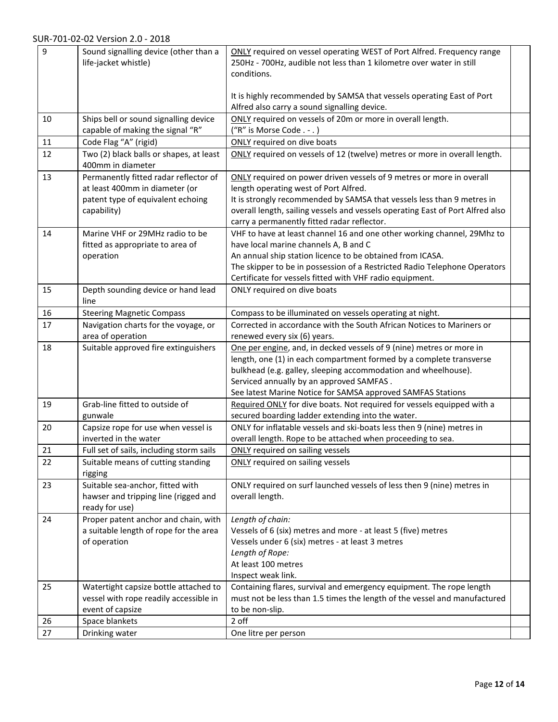| 9  | Sound signalling device (other than a<br>life-jacket whistle)             | ONLY required on vessel operating WEST of Port Alfred. Frequency range<br>250Hz - 700Hz, audible not less than 1 kilometre over water in still<br>conditions.                                                                                                                                                            |  |
|----|---------------------------------------------------------------------------|--------------------------------------------------------------------------------------------------------------------------------------------------------------------------------------------------------------------------------------------------------------------------------------------------------------------------|--|
|    |                                                                           | It is highly recommended by SAMSA that vessels operating East of Port<br>Alfred also carry a sound signalling device.                                                                                                                                                                                                    |  |
| 10 | Ships bell or sound signalling device<br>capable of making the signal "R" | ONLY required on vessels of 20m or more in overall length.<br>("R" is Morse Code . - . )                                                                                                                                                                                                                                 |  |
| 11 | Code Flag "A" (rigid)                                                     | <b>ONLY</b> required on dive boats                                                                                                                                                                                                                                                                                       |  |
| 12 | Two (2) black balls or shapes, at least                                   | ONLY required on vessels of 12 (twelve) metres or more in overall length.                                                                                                                                                                                                                                                |  |
|    | 400mm in diameter                                                         |                                                                                                                                                                                                                                                                                                                          |  |
| 13 | Permanently fitted radar reflector of                                     | ONLY required on power driven vessels of 9 metres or more in overall                                                                                                                                                                                                                                                     |  |
|    | at least 400mm in diameter (or                                            | length operating west of Port Alfred.                                                                                                                                                                                                                                                                                    |  |
|    | patent type of equivalent echoing                                         | It is strongly recommended by SAMSA that vessels less than 9 metres in                                                                                                                                                                                                                                                   |  |
|    | capability)                                                               | overall length, sailing vessels and vessels operating East of Port Alfred also<br>carry a permanently fitted radar reflector.                                                                                                                                                                                            |  |
| 14 | Marine VHF or 29MHz radio to be                                           | VHF to have at least channel 16 and one other working channel, 29Mhz to                                                                                                                                                                                                                                                  |  |
|    | fitted as appropriate to area of                                          | have local marine channels A, B and C                                                                                                                                                                                                                                                                                    |  |
|    | operation                                                                 | An annual ship station licence to be obtained from ICASA.                                                                                                                                                                                                                                                                |  |
|    |                                                                           | The skipper to be in possession of a Restricted Radio Telephone Operators                                                                                                                                                                                                                                                |  |
|    |                                                                           | Certificate for vessels fitted with VHF radio equipment.                                                                                                                                                                                                                                                                 |  |
| 15 | Depth sounding device or hand lead<br>line                                | ONLY required on dive boats                                                                                                                                                                                                                                                                                              |  |
| 16 | <b>Steering Magnetic Compass</b>                                          | Compass to be illuminated on vessels operating at night.                                                                                                                                                                                                                                                                 |  |
| 17 | Navigation charts for the voyage, or                                      | Corrected in accordance with the South African Notices to Mariners or                                                                                                                                                                                                                                                    |  |
|    | area of operation                                                         | renewed every six (6) years.                                                                                                                                                                                                                                                                                             |  |
| 18 | Suitable approved fire extinguishers                                      | One per engine, and, in decked vessels of 9 (nine) metres or more in<br>length, one (1) in each compartment formed by a complete transverse<br>bulkhead (e.g. galley, sleeping accommodation and wheelhouse).<br>Serviced annually by an approved SAMFAS.<br>See latest Marine Notice for SAMSA approved SAMFAS Stations |  |
| 19 | Grab-line fitted to outside of<br>gunwale                                 | Required ONLY for dive boats. Not required for vessels equipped with a<br>secured boarding ladder extending into the water.                                                                                                                                                                                              |  |
| 20 | Capsize rope for use when vessel is                                       | ONLY for inflatable vessels and ski-boats less then 9 (nine) metres in                                                                                                                                                                                                                                                   |  |
|    | inverted in the water                                                     | overall length. Rope to be attached when proceeding to sea.                                                                                                                                                                                                                                                              |  |
| 21 | Full set of sails, including storm sails                                  | <b>ONLY</b> required on sailing vessels                                                                                                                                                                                                                                                                                  |  |
| 22 | Suitable means of cutting standing<br>rigging                             | <b>ONLY</b> required on sailing vessels                                                                                                                                                                                                                                                                                  |  |
| 23 | Suitable sea-anchor, fitted with                                          | ONLY required on surf launched vessels of less then 9 (nine) metres in                                                                                                                                                                                                                                                   |  |
|    | hawser and tripping line (rigged and<br>ready for use)                    | overall length.                                                                                                                                                                                                                                                                                                          |  |
| 24 | Proper patent anchor and chain, with                                      | Length of chain:                                                                                                                                                                                                                                                                                                         |  |
|    | a suitable length of rope for the area                                    | Vessels of 6 (six) metres and more - at least 5 (five) metres                                                                                                                                                                                                                                                            |  |
|    | of operation                                                              | Vessels under 6 (six) metres - at least 3 metres                                                                                                                                                                                                                                                                         |  |
|    |                                                                           | Length of Rope:                                                                                                                                                                                                                                                                                                          |  |
|    |                                                                           | At least 100 metres                                                                                                                                                                                                                                                                                                      |  |
|    |                                                                           | Inspect weak link.                                                                                                                                                                                                                                                                                                       |  |
| 25 | Watertight capsize bottle attached to                                     | Containing flares, survival and emergency equipment. The rope length                                                                                                                                                                                                                                                     |  |
|    | vessel with rope readily accessible in                                    | must not be less than 1.5 times the length of the vessel and manufactured                                                                                                                                                                                                                                                |  |
|    | event of capsize                                                          | to be non-slip.                                                                                                                                                                                                                                                                                                          |  |
| 26 | Space blankets                                                            | 2 off                                                                                                                                                                                                                                                                                                                    |  |
| 27 | Drinking water                                                            | One litre per person                                                                                                                                                                                                                                                                                                     |  |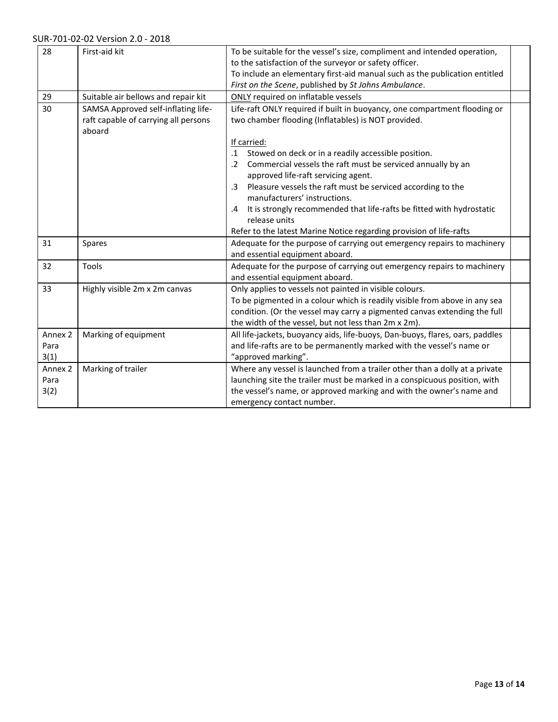| 28                                 | First-aid kit                                                                         | To be suitable for the vessel's size, compliment and intended operation,<br>to the satisfaction of the surveyor or safety officer.<br>To include an elementary first-aid manual such as the publication entitled<br>First on the Scene, published by St Johns Ambulance.   |
|------------------------------------|---------------------------------------------------------------------------------------|----------------------------------------------------------------------------------------------------------------------------------------------------------------------------------------------------------------------------------------------------------------------------|
| 29                                 | Suitable air bellows and repair kit                                                   | ONLY required on inflatable vessels                                                                                                                                                                                                                                        |
| 30                                 | SAMSA Approved self-inflating life-<br>raft capable of carrying all persons<br>aboard | Life-raft ONLY required if built in buoyancy, one compartment flooding or<br>two chamber flooding (Inflatables) is NOT provided.                                                                                                                                           |
|                                    |                                                                                       | If carried:                                                                                                                                                                                                                                                                |
|                                    |                                                                                       | Stowed on deck or in a readily accessible position.<br>$\cdot$ 1                                                                                                                                                                                                           |
|                                    |                                                                                       | .2 Commercial vessels the raft must be serviced annually by an<br>approved life-raft servicing agent.                                                                                                                                                                      |
|                                    |                                                                                       | Pleasure vessels the raft must be serviced according to the<br>$\cdot$ 3<br>manufacturers' instructions.                                                                                                                                                                   |
|                                    |                                                                                       | It is strongly recommended that life-rafts be fitted with hydrostatic<br>.4<br>release units                                                                                                                                                                               |
|                                    |                                                                                       | Refer to the latest Marine Notice regarding provision of life-rafts                                                                                                                                                                                                        |
| 31                                 | Spares                                                                                | Adequate for the purpose of carrying out emergency repairs to machinery<br>and essential equipment aboard.                                                                                                                                                                 |
| 32                                 | Tools                                                                                 | Adequate for the purpose of carrying out emergency repairs to machinery<br>and essential equipment aboard.                                                                                                                                                                 |
| 33                                 | Highly visible 2m x 2m canvas                                                         | Only applies to vessels not painted in visible colours.<br>To be pigmented in a colour which is readily visible from above in any sea<br>condition. (Or the vessel may carry a pigmented canvas extending the full<br>the width of the vessel, but not less than 2m x 2m). |
| Annex <sub>2</sub><br>Para<br>3(1) | Marking of equipment                                                                  | All life-jackets, buoyancy aids, life-buoys, Dan-buoys, flares, oars, paddles<br>and life-rafts are to be permanently marked with the vessel's name or<br>"approved marking".                                                                                              |
| Annex <sub>2</sub><br>Para<br>3(2) | Marking of trailer                                                                    | Where any vessel is launched from a trailer other than a dolly at a private<br>launching site the trailer must be marked in a conspicuous position, with<br>the vessel's name, or approved marking and with the owner's name and<br>emergency contact number.              |